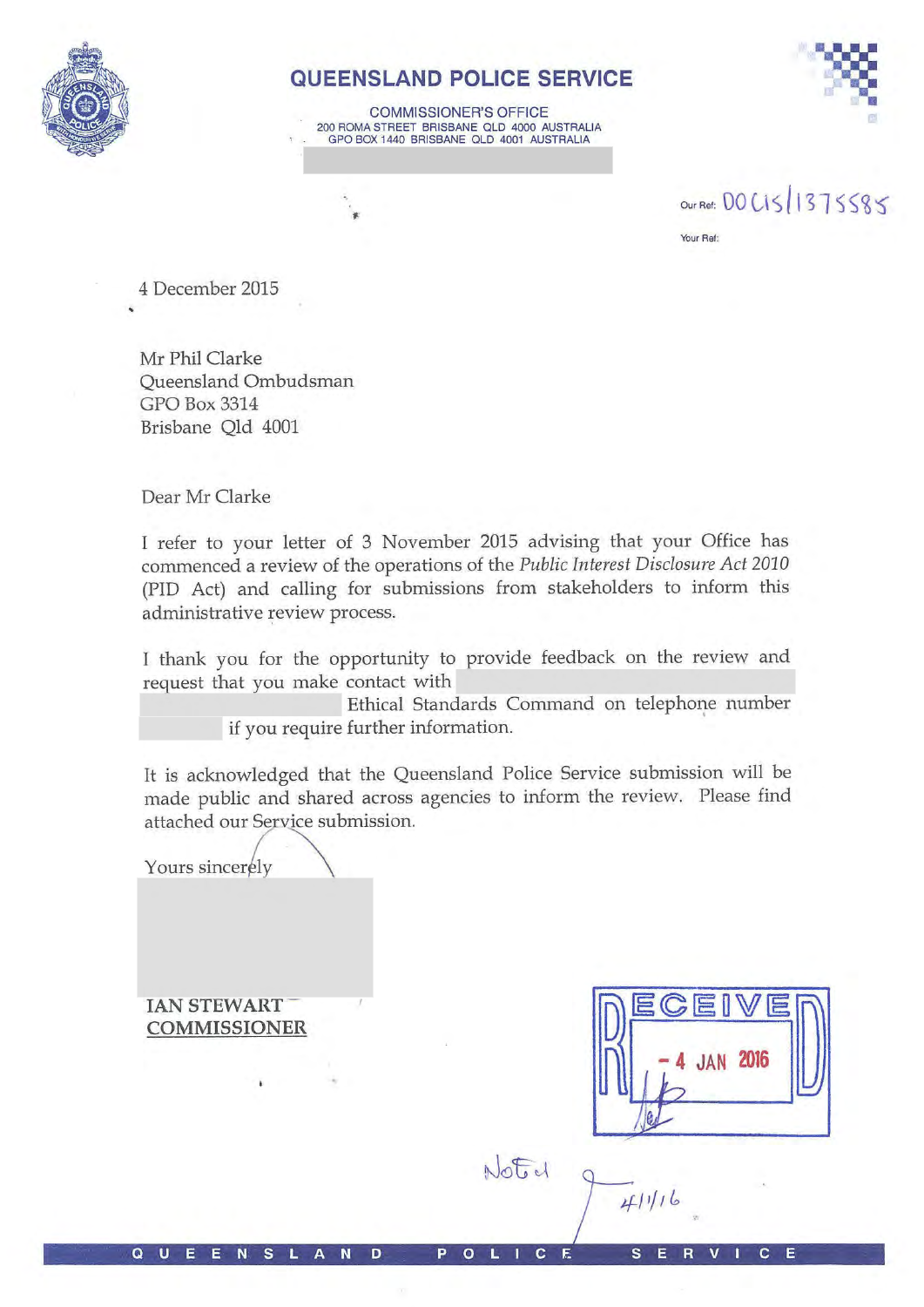

# QUEENSLAND POLICE SERVICE

**COMMISSIONER'S OFFICE** 200 ROMA STREET BRISBANE QLD 4000 AUSTRALIA GPO BOX 1440 BRISBANE QLD 4001 AUSTRALIA



our Ref: 00 CIS 1375585 Your Ref:

4 December 2015

Mr Phil Clarke **Oueensland Ombudsman GPO Box 3314** Brisbane Old 4001

Dear Mr Clarke

I refer to your letter of 3 November 2015 advising that your Office has commenced a review of the operations of the Public Interest Disclosure Act 2010 (PID Act) and calling for submissions from stakeholders to inform this administrative review process.

I thank you for the opportunity to provide feedback on the review and request that you make contact with

> Ethical Standards Command on telephone number if you require further information.

It is acknowledged that the Queensland Police Service submission will be made public and shared across agencies to inform the review. Please find attached our Service submission.

Yours sincerely

**IAN STEWART COMMISSIONER** 

**JAN 2016** 

Noted 4/1/16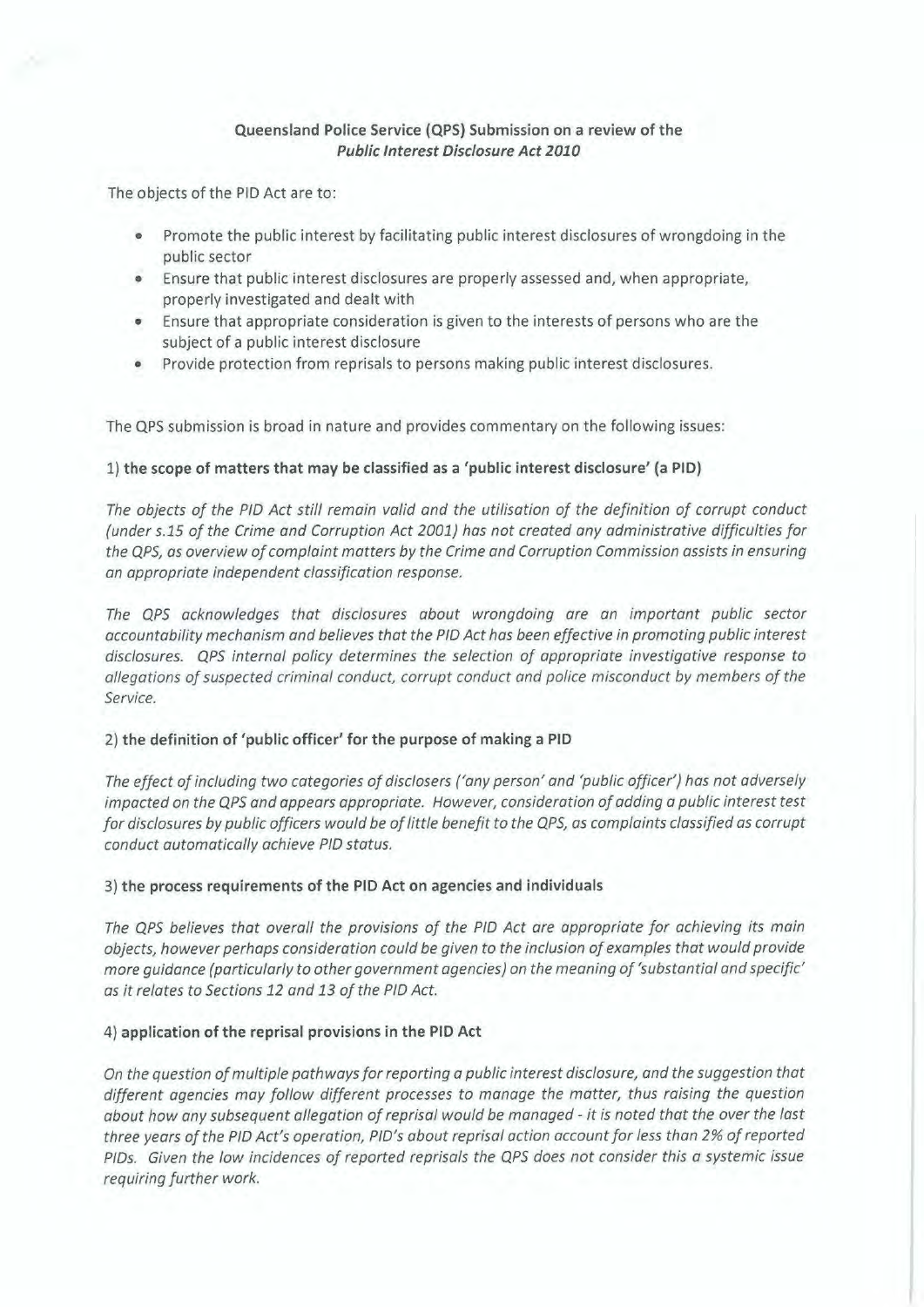## **Queensland Police Service (QPS} Submission on a review of the Public Interest Disclosure Act 2010**

The objects of the PID Act are to:

- Promote the public interest by facilitating public interest disclosures of wrongdoing in the public sector
- Ensure that public interest disclosures are properly assessed and, when appropriate, properly investigated and dealt with
- Ensure that appropriate consideration is given to the interests of persons who are the subject of a public interest disclosure
- Provide protection from reprisals to persons making public interest disclosures.

The QPS submission is broad in nature and provides commentary on the following issues:

## 1) **the scope of matters that may be classified as a 'public interest disclosure' (a PIO}**

*The objects of the PIO Act still remain valid and the utilisation of the definition of corrupt conduct (under s.15 of the Crime and Corruption Act 2001) has not created any administrative difficulties for the QPS, as overview of complaint matters by the Crime and Corruption Commission assists in ensuring an appropriate independent classification response.* 

*The QPS acknowledges that disclosures about wrongdoing are an important public sector accountability mechanism and believes that the PIO Act has been effective in promoting public interest disclosures. QPS internal policy determines the selection of appropriate investigative response to allegations of suspected criminal conduct, corrupt conduct and police misconduct by members of the Service.* 

## 2) **the definition of 'public officer' for the purpose of making a PIO**

*The effect of including two categories of disclosers ('any person' and 'public officer') has not adversely impacted on the QPS and appears appropriate. However, consideration of adding a public interest test for disclosures by public officers would be of little benefit to the QPS, as complaints classified as corrupt conduct automatically achieve PIO status.* 

#### 3) **the process requirements of the PIO Act on agencies and individuals**

*The QPS believes that overall the provisions of the PIO Act are appropriate for achieving its main objects, however perhaps consideration could be given to the inclusion of examples that would provide more guidance (particularly to other government agencies) on the meaning of 'substantial and specific' as it relates to Sections 12 and 13 of the PIO Act.* 

## 4) **application of the reprisal provisions in the PIO Act**

*On the question of multiple pathways for reporting a public interest disclosure, and the suggestion that different agencies may follow different processes to manage the matter, thus raising the question about how any subsequent allegation of reprisal would be managed* - *it is noted that the over the last three years of the PIO Act's operation, PID's about reprisal action account for less than 2% of reported PIDs. Given the low incidences of reported reprisals the QPS does not consider this a systemic issue requiring further work.*